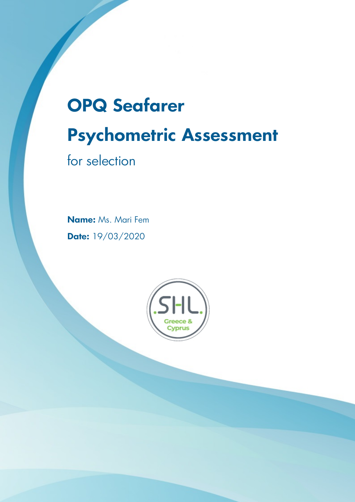# **OPQ Seafarer Psychometric Assessment**

for selection

**Name:** Ms. Mari Fem **Date:** 19/03/2020

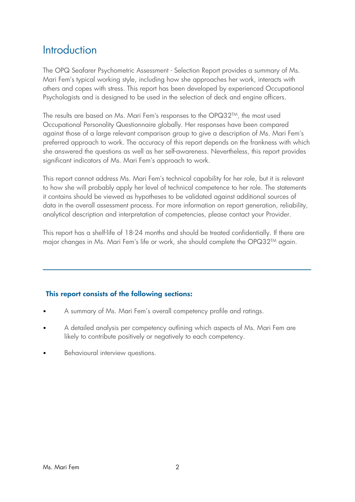### Introduction

The OPQ Seafarer Psychometric Assessment - Selection Report provides a summary of Ms. Mari Fem's typical working style, including how she approaches her work, interacts with others and copes with stress. This report has been developed by experienced Occupational Psychologists and is designed to be used in the selection of deck and engine officers.

The results are based on Ms. Mari Fem's responses to the OPQ32<sup>TM</sup>, the most used Occupational Personality Questionnaire globally. Her responses have been compared against those of a large relevant comparison group to give a description of Ms. Mari Fem's preferred approach to work. The accuracy of this report depends on the frankness with which she answered the questions as well as her self-awareness. Nevertheless, this report provides significant indicators of Ms. Mari Fem's approach to work.

This report cannot address Ms. Mari Fem's technical capability for her role, but it is relevant to how she will probably apply her level of technical competence to her role. The statements it contains should be viewed as hypotheses to be validated against additional sources of data in the overall assessment process. For more information on report generation, reliability, analytical description and interpretation of competencies, please contact your Provider.

This report has a shelf-life of 18-24 months and should be treated confidentially. If there are major changes in Ms. Mari Fem's life or work, she should complete the OPQ32<sup>TM</sup> again.

#### **This report consists of the following sections:**

- A summary of Ms. Mari Fem's overall competency profile and ratings.
- A detailed analysis per competency outlining which aspects of Ms. Mari Fem are likely to contribute positively or negatively to each competency.
- Behavioural interview questions.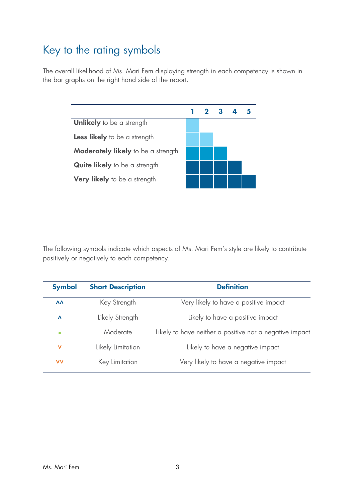# Key to the rating symbols

The overall likelihood of Ms. Mari Fem displaying strength in each competency is shown in the bar graphs on the right hand side of the report.



The following symbols indicate which aspects of Ms. Mari Fem's style are likely to contribute positively or negatively to each competency.

| <b>Symbol</b>    | <b>Short Description</b> | <b>Definition</b>                                       |
|------------------|--------------------------|---------------------------------------------------------|
| $\Lambda\Lambda$ | Key Strength             | Very likely to have a positive impact                   |
| $\Lambda$        | Likely Strength          | Likely to have a positive impact                        |
| $\bullet$        | Moderate                 | Likely to have neither a positive nor a negative impact |
| $\mathbf v$      | Likely Limitation        | Likely to have a negative impact                        |
| <b>VV</b>        | Key Limitation           | Very likely to have a negative impact                   |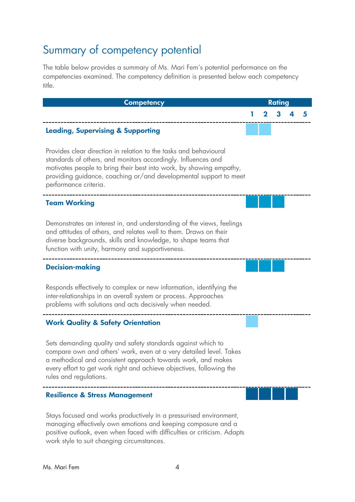# Summary of competency potential

The table below provides a summary of Ms. Mari Fem's potential performance on the competencies examined. The competency definition is presented below each competency title.

| <b>Competency</b>                                                                                                                                                                                                                                                                                       |  | <b>Rating</b> |  |
|---------------------------------------------------------------------------------------------------------------------------------------------------------------------------------------------------------------------------------------------------------------------------------------------------------|--|---------------|--|
|                                                                                                                                                                                                                                                                                                         |  |               |  |
| <b>Leading, Supervising &amp; Supporting</b>                                                                                                                                                                                                                                                            |  |               |  |
| Provides clear direction in relation to the tasks and behavioural<br>standards of others, and monitors accordingly. Influences and<br>motivates people to bring their best into work, by showing empathy,<br>providing guidance, coaching or/and developmental support to meet<br>performance criteria. |  |               |  |
| <b>Team Working</b>                                                                                                                                                                                                                                                                                     |  |               |  |
| Demonstrates an interest in, and understanding of the views, feelings<br>and attitudes of others, and relates well to them. Draws on their<br>diverse backgrounds, skills and knowledge, to shape teams that<br>function with unity, harmony and supportiveness.                                        |  |               |  |
| <b>Decision-making</b>                                                                                                                                                                                                                                                                                  |  |               |  |
| Responds effectively to complex or new information, identifying the<br>inter-relationships in an overall system or process. Approaches<br>problems with solutions and acts decisively when needed.                                                                                                      |  |               |  |
| <b>Work Quality &amp; Safety Orientation</b>                                                                                                                                                                                                                                                            |  |               |  |
| Sets demanding quality and safety standards against which to<br>compare own and others' work, even at a very detailed level. Takes<br>a methodical and consistent approach towards work, and makes<br>every effort to get work right and achieve objectives, following the<br>rules and regulations.    |  |               |  |
| <b>Resilience &amp; Stress Management</b>                                                                                                                                                                                                                                                               |  |               |  |
| Stays focused and works productively in a pressurised environment,<br>managing effectively own emotions and keeping composure and a<br>positive outlook, even when faced with difficulties or criticism. Adapts                                                                                         |  |               |  |

work style to suit changing circumstances.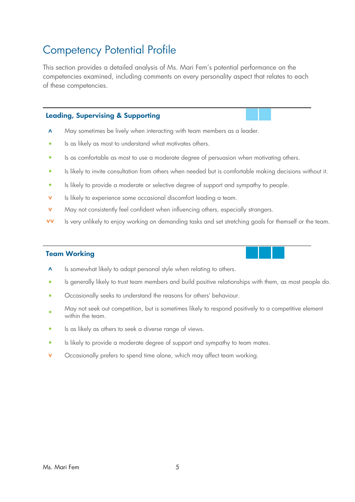## Competency Potential Profile

This section provides a detailed analysis of Ms. Mari Fem's potential performance on the competencies examined, including comments on every personality aspect that relates to each of these competencies.

#### **Leading, Supervising & Supporting**

- $\Lambda$  May sometimes be lively when interacting with team members as a leader.
- **•** Is as likely as most to understand what motivates others.
- **•** Is as comfortable as most to use a moderate degree of persuasion when motivating others.
- **•** Is likely to invite consultation from others when needed but is comfortable making decisions without it.
- Is likely to provide a moderate or selective degree of support and sympathy to people.
- **v** Is likely to experience some occasional discomfort leading a team.
- **v** May not consistently feel confident when influencing others, especially strangers.
- **vv** Is very unlikely to enjoy working on demanding tasks and set stretching goals for themself or the team.

#### **Team Working**



- Is generally likely to trust team members and build positive relationships with them, as most people do.
- Occasionally seeks to understand the reasons for others' behaviour.
- **•** May not seek out competition, but is sometimes likely to respond positively to a competitive element within the team.
- **•** Is as likely as others to seek a diverse range of views.
- Is likely to provide a moderate degree of support and sympathy to team mates.
- **v** Occasionally prefers to spend time alone, which may affect team working.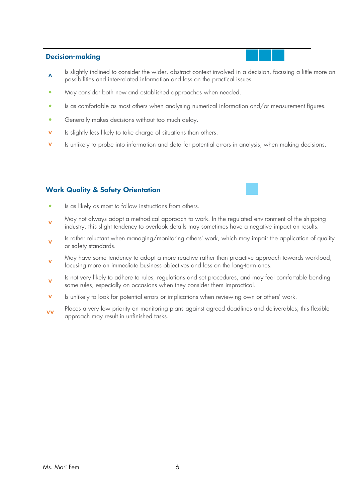#### **Decision-making**



- $\lambda$ Is slightly inclined to consider the wider, abstract context involved in a decision, focusing a little more on possibilities and inter-related information and less on the practical issues.
- **•** May consider both new and established approaches when needed.
- **•** Is as comfortable as most others when analysing numerical information and/or measurement figures.
- **•** Generally makes decisions without too much delay.
- **v** Is slightly less likely to take charge of situations than others.
- **v** Is unlikely to probe into information and data for potential errors in analysis, when making decisions.

#### **Work Quality & Safety Orientation**

- **•** Is as likely as most to follow instructions from others.
- **˅** May not always adopt a methodical approach to work. In the regulated environment of the shipping industry, this slight tendency to overlook details may sometimes have a negative impact on results.
- **˅** Is rather reluctant when managing/monitoring others' work, which may impair the application of quality or safety standards.
- **˅** May have some tendency to adopt a more reactive rather than proactive approach towards workload, focusing more on immediate business objectives and less on the long-term ones.
- **˅** Is not very likely to adhere to rules, regulations and set procedures, and may feel comfortable bending some rules, especially on occasions when they consider them impractical.
- Is unlikely to look for potential errors or implications when reviewing own or others' work.
- **vu** Places a very low priority on monitoring plans against agreed deadlines and deliverables; this flexible approach may result in unfinished tasks.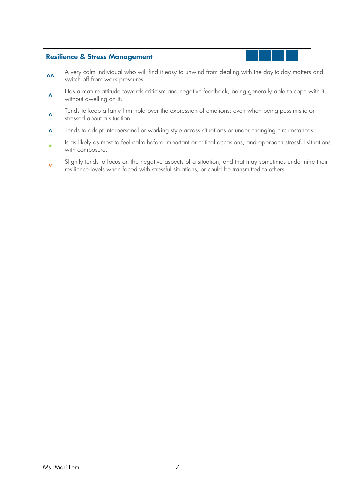#### **Resilience & Stress Management**

- A very calm individual who will find it easy to unwind from dealing with the day-to-day matters and switch off from work pressures.
- $\Lambda$ Has a mature attitude towards criticism and negative feedback, being generally able to cope with it, without dwelling on it.
- $\Lambda$ Tends to keep a fairly firm hold over the expression of emotions; even when being pessimistic or stressed about a situation.
- $\Lambda$  Tends to adapt interpersonal or working style across situations or under changing circumstances.
- **•** Is as likely as most to feel calm before important or critical occasions, and approach stressful situations with composure.
- **˅** Slightly tends to focus on the negative aspects of a situation, and that may sometimes undermine their resilience levels when faced with stressful situations, or could be transmitted to others.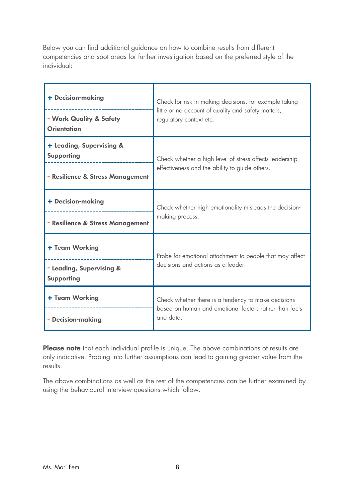Below you can find additional guidance on how to combine results from different competencies and spot areas for further investigation based on the preferred style of the individual:

| + Decision-making                             | Check for risk in making decisions, for example taking<br>little or no account of quality and safety matters,<br>regulatory context etc. |  |
|-----------------------------------------------|------------------------------------------------------------------------------------------------------------------------------------------|--|
| - Work Quality & Safety<br><b>Orientation</b> |                                                                                                                                          |  |
| + Leading, Supervising &<br><b>Supporting</b> | Check whether a high level of stress affects leadership                                                                                  |  |
| - Resilience & Stress Management              | effectiveness and the ability to guide others.                                                                                           |  |
| + Decision-making                             | Check whether high emotionality misleads the decision-<br>making process.                                                                |  |
| - Resilience & Stress Management              |                                                                                                                                          |  |
| + Team Working                                | Probe for emotional attachment to people that may affect                                                                                 |  |
| - Leading, Supervising &<br><b>Supporting</b> | decisions and actions as a leader.                                                                                                       |  |
| + Team Working                                | Check whether there is a tendency to make decisions<br>based on human and emotional factors rather than facts                            |  |
| - Decision-making                             | and data.                                                                                                                                |  |

Please note that each individual profile is unique. The above combinations of results are only indicative. Probing into further assumptions can lead to gaining greater value from the results.

The above combinations as well as the rest of the competencies can be further examined by using the behavioural interview questions which follow.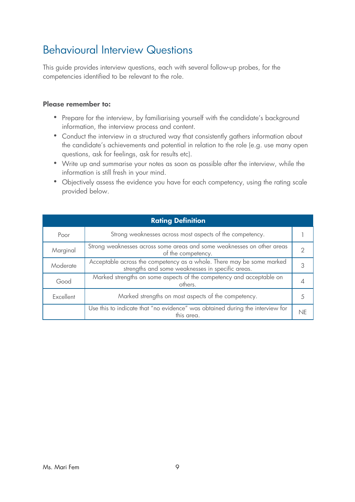# Behavioural Interview Questions

This guide provides interview questions, each with several follow-up probes, for the competencies identified to be relevant to the role.

#### **Please remember to:**

- Prepare for the interview, by familiarising yourself with the candidate's background information, the interview process and content.
- Conduct the interview in a structured way that consistently gathers information about the candidate's achievements and potential in relation to the role (e.g. use many open questions, ask for feelings, ask for results etc).
- Write up and summarise your notes as soon as possible after the interview, while the information is still fresh in your mind.
- Objectively assess the evidence you have for each competency, using the rating scale provided below.

| <b>Rating Definition</b> |                                                                                                                           |    |
|--------------------------|---------------------------------------------------------------------------------------------------------------------------|----|
| Poor                     | Strong weaknesses across most aspects of the competency.                                                                  |    |
| Marginal                 | Strong weaknesses across some areas and some weaknesses on other areas<br>of the competency.                              |    |
| Moderate                 | Acceptable across the competency as a whole. There may be some marked<br>strengths and some weaknesses in specific areas. |    |
| Good                     | Marked strengths on some aspects of the competency and acceptable on<br>others.                                           |    |
| Excellent                | Marked strengths on most aspects of the competency.                                                                       |    |
|                          | Use this to indicate that "no evidence" was obtained during the interview for<br>this area.                               | NF |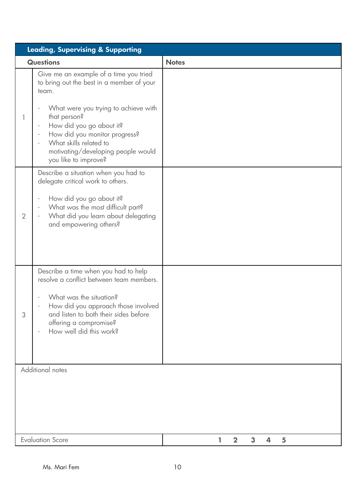| <b>Leading, Supervising &amp; Supporting</b> |                                                                                                                                                                                                                                                                                                                                       |                            |
|----------------------------------------------|---------------------------------------------------------------------------------------------------------------------------------------------------------------------------------------------------------------------------------------------------------------------------------------------------------------------------------------|----------------------------|
|                                              | <b>Questions</b>                                                                                                                                                                                                                                                                                                                      | <b>Notes</b>               |
|                                              | Give me an example of a time you tried<br>to bring out the best in a member of your<br>team.<br>What were you trying to achieve with<br>that person?<br>How did you go about it?<br>How did you monitor progress?<br>$\overline{\phantom{a}}$<br>What skills related to<br>motivating/developing people would<br>you like to improve? |                            |
| $\overline{2}$                               | Describe a situation when you had to<br>delegate critical work to others.<br>How did you go about it?<br>What was the most difficult part?<br>What did you learn about delegating<br>and empowering others?                                                                                                                           |                            |
| 3                                            | Describe a time when you had to help<br>resolve a conflict between team members.<br>What was the situation?<br>How did you approach those involved<br>and listen to both their sides before<br>offering a compromise?<br>How well did this work?                                                                                      |                            |
|                                              | Additional notes                                                                                                                                                                                                                                                                                                                      |                            |
| <b>Evaluation Score</b>                      |                                                                                                                                                                                                                                                                                                                                       | 3<br>$\mathbf 2$<br>4<br>5 |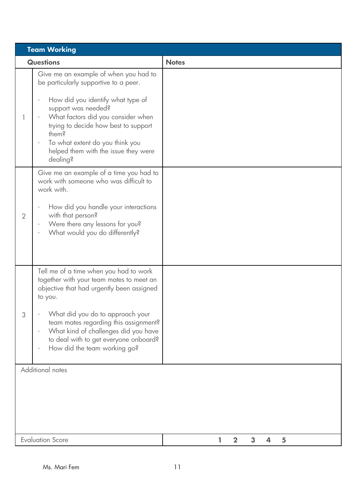| <b>Team Working</b> |                                                                                                                                                                                                                                                                                                                                                                                                  |                                    |
|---------------------|--------------------------------------------------------------------------------------------------------------------------------------------------------------------------------------------------------------------------------------------------------------------------------------------------------------------------------------------------------------------------------------------------|------------------------------------|
|                     | <b>Questions</b>                                                                                                                                                                                                                                                                                                                                                                                 | <b>Notes</b>                       |
|                     | Give me an example of when you had to<br>be particularly supportive to a peer.<br>How did you identify what type of<br>$\qquad \qquad -$<br>support was needed?<br>What factors did you consider when<br>trying to decide how best to support<br>them?<br>To what extent do you think you<br>$\qquad \qquad -$<br>helped them with the issue they were<br>dealing?                               |                                    |
| $\overline{2}$      | Give me an example of a time you had to<br>work with someone who was difficult to<br>work with.<br>How did you handle your interactions<br>with that person?<br>Were there any lessons for you?<br>$\overline{\phantom{a}}$<br>What would you do differently?                                                                                                                                    |                                    |
| 3                   | Tell me of a time when you had to work<br>together with your team mates to meet an<br>objective that had urgently been assigned<br>to you.<br>What did you do to approach your<br>team mates regarding this assignment?<br>What kind of challenges did you have<br>$\overline{\phantom{0}}$<br>to deal with to get everyone onboard?<br>How did the team working go?<br>$\overline{\phantom{0}}$ |                                    |
|                     | Additional notes                                                                                                                                                                                                                                                                                                                                                                                 |                                    |
|                     | <b>Evaluation Score</b>                                                                                                                                                                                                                                                                                                                                                                          | 3<br>$\overline{2}$<br>4<br>5<br>ı |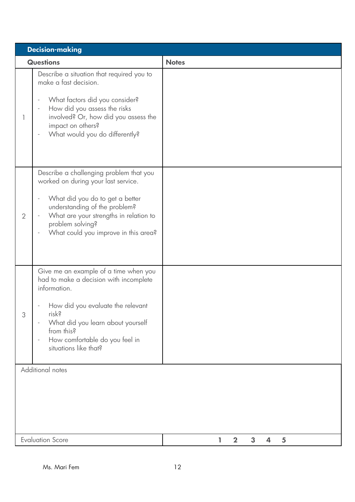| <b>Decision-making</b> |                                                                                                                                                                                                                                                             |                               |
|------------------------|-------------------------------------------------------------------------------------------------------------------------------------------------------------------------------------------------------------------------------------------------------------|-------------------------------|
|                        | <b>Questions</b>                                                                                                                                                                                                                                            | <b>Notes</b>                  |
|                        | Describe a situation that required you to<br>make a fast decision.<br>What factors did you consider?<br>How did you assess the risks<br>involved? Or, how did you assess the<br>impact on others?<br>What would you do differently?                         |                               |
| $\overline{2}$         | Describe a challenging problem that you<br>worked on during your last service.<br>What did you do to get a better<br>understanding of the problem?<br>What are your strengths in relation to<br>problem solving?<br>What could you improve in this area?    |                               |
| 3                      | Give me an example of a time when you<br>had to make a decision with incomplete<br>information.<br>How did you evaluate the relevant<br>risk?<br>What did you learn about yourself<br>from this?<br>How comfortable do you feel in<br>situations like that? |                               |
| Additional notes       |                                                                                                                                                                                                                                                             |                               |
|                        | <b>Evaluation Score</b>                                                                                                                                                                                                                                     | $\overline{2}$<br>3<br>5<br>4 |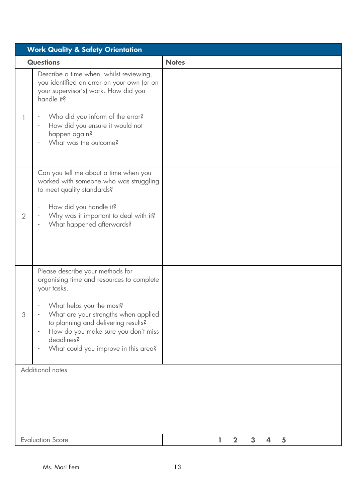| <b>Work Quality &amp; Safety Orientation</b> |                                                                                                                                                                                                                                                                                                      |                                 |
|----------------------------------------------|------------------------------------------------------------------------------------------------------------------------------------------------------------------------------------------------------------------------------------------------------------------------------------------------------|---------------------------------|
|                                              | <b>Questions</b>                                                                                                                                                                                                                                                                                     | <b>Notes</b>                    |
| 1                                            | Describe a time when, whilst reviewing,<br>you identified an error on your own (or on<br>your supervisor's) work. How did you<br>handle it?<br>Who did you inform of the error?<br>How did you ensure it would not<br>happen again?<br>What was the outcome?                                         |                                 |
| $\overline{2}$                               | Can you tell me about a time when you<br>worked with someone who was struggling<br>to meet quality standards?<br>How did you handle it?<br>Why was it important to deal with it?<br>What happened afterwards?                                                                                        |                                 |
| 3                                            | Please describe your methods for<br>organising time and resources to complete<br>your tasks.<br>What helps you the most?<br>What are your strengths when applied<br>to planning and delivering results?<br>How do you make sure you don't miss<br>deadlines?<br>What could you improve in this area? |                                 |
| Additional notes                             |                                                                                                                                                                                                                                                                                                      |                                 |
|                                              | <b>Evaluation Score</b>                                                                                                                                                                                                                                                                              | $\boldsymbol{2}$<br>3<br>5<br>4 |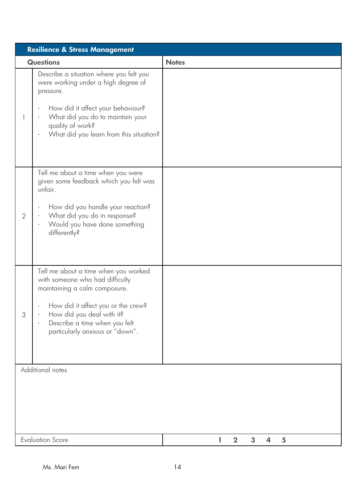| <b>Resilience &amp; Stress Management</b>                                    |                                                                                                                                                                                                                                                 |              |
|------------------------------------------------------------------------------|-------------------------------------------------------------------------------------------------------------------------------------------------------------------------------------------------------------------------------------------------|--------------|
|                                                                              | <b>Questions</b>                                                                                                                                                                                                                                | <b>Notes</b> |
|                                                                              | Describe a situation where you felt you<br>were working under a high degree of<br>pressure.<br>How did it affect your behaviour?<br>What did you do to maintain your<br>quality of work?<br>What did you learn from this situation?             |              |
| 2                                                                            | Tell me about a time when you were<br>given some feedback which you felt was<br>unfair.<br>How did you handle your reaction?<br>What did you do in response?<br>Would you have done something<br>differently?                                   |              |
| 3                                                                            | Tell me about a time when you worked<br>with someone who had difficulty<br>maintaining a calm composure.<br>How did it affect you or the crew?<br>How did you deal with it?<br>Describe a time when you felt<br>particularly anxious or "down". |              |
| Additional notes                                                             |                                                                                                                                                                                                                                                 |              |
| <b>Evaluation Score</b><br>$\mathbf{3}$<br>$\overline{\mathbf{2}}$<br>4<br>5 |                                                                                                                                                                                                                                                 |              |